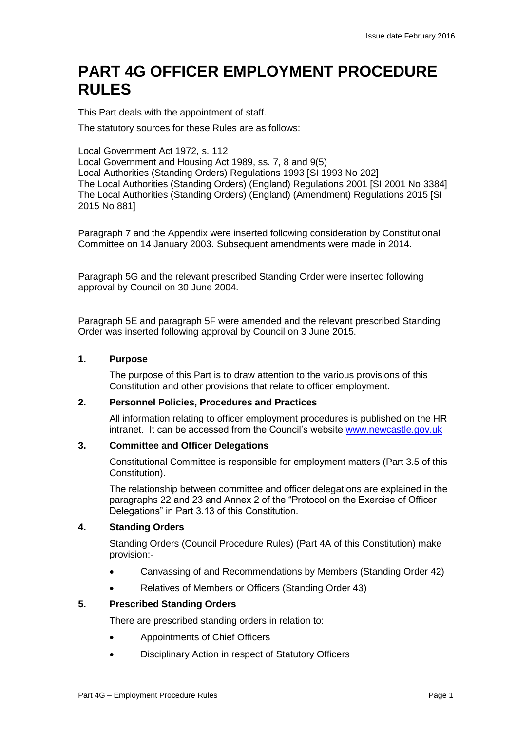# **PART 4G OFFICER EMPLOYMENT PROCEDURE RULES**

This Part deals with the appointment of staff.

The statutory sources for these Rules are as follows:

Local Government Act 1972, s. 112

Local Government and Housing Act 1989, ss. 7, 8 and 9(5) Local Authorities (Standing Orders) Regulations 1993 [SI 1993 No 202] The Local Authorities (Standing Orders) (England) Regulations 2001 [SI 2001 No 3384] The Local Authorities (Standing Orders) (England) (Amendment) Regulations 2015 [SI 2015 No 881]

Paragraph 7 and the Appendix were inserted following consideration by Constitutional Committee on 14 January 2003. Subsequent amendments were made in 2014.

Paragraph 5G and the relevant prescribed Standing Order were inserted following approval by Council on 30 June 2004.

Paragraph 5E and paragraph 5F were amended and the relevant prescribed Standing Order was inserted following approval by Council on 3 June 2015.

#### **1. Purpose**

The purpose of this Part is to draw attention to the various provisions of this Constitution and other provisions that relate to officer employment.

#### **2. Personnel Policies, Procedures and Practices**

All information relating to officer employment procedures is published on the HR intranet. It can be accessed from the Council's website [www.newcastle.gov.uk](http://www.newcastle.gov.uk/)

# **3. Committee and Officer Delegations**

Constitutional Committee is responsible for employment matters (Part 3.5 of this Constitution).

The relationship between committee and officer delegations are explained in the paragraphs 22 and 23 and Annex 2 of the "Protocol on the Exercise of Officer Delegations" in Part 3.13 of this Constitution.

# **4. Standing Orders**

Standing Orders (Council Procedure Rules) (Part 4A of this Constitution) make provision:-

- Canvassing of and Recommendations by Members (Standing Order 42)
- Relatives of Members or Officers (Standing Order 43)

# **5. Prescribed Standing Orders**

There are prescribed standing orders in relation to:

- Appointments of Chief Officers
- Disciplinary Action in respect of Statutory Officers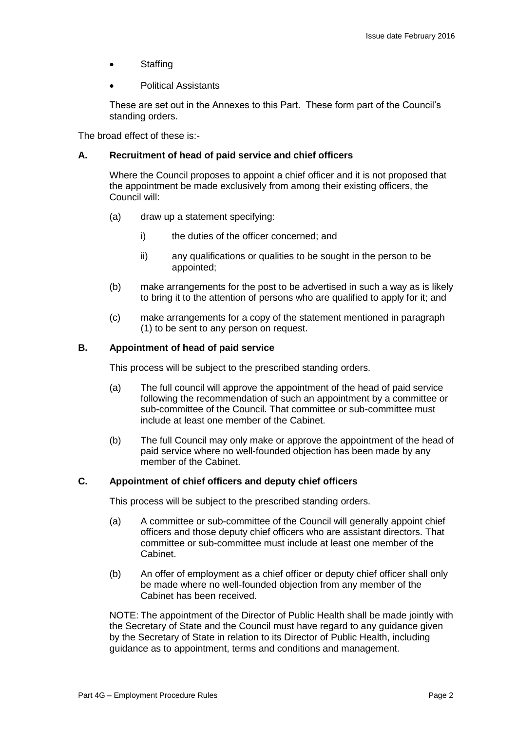- **Staffing**
- Political Assistants

These are set out in the Annexes to this Part. These form part of the Council's standing orders.

The broad effect of these is:-

# **A. Recruitment of head of paid service and chief officers**

Where the Council proposes to appoint a chief officer and it is not proposed that the appointment be made exclusively from among their existing officers, the Council will:

- (a) draw up a statement specifying:
	- i) the duties of the officer concerned; and
	- ii) any qualifications or qualities to be sought in the person to be appointed;
- (b) make arrangements for the post to be advertised in such a way as is likely to bring it to the attention of persons who are qualified to apply for it; and
- (c) make arrangements for a copy of the statement mentioned in paragraph (1) to be sent to any person on request.

#### **B. Appointment of head of paid service**

This process will be subject to the prescribed standing orders.

- (a) The full council will approve the appointment of the head of paid service following the recommendation of such an appointment by a committee or sub-committee of the Council. That committee or sub-committee must include at least one member of the Cabinet.
- (b) The full Council may only make or approve the appointment of the head of paid service where no well-founded objection has been made by any member of the Cabinet.

# **C. Appointment of chief officers and deputy chief officers**

This process will be subject to the prescribed standing orders.

- (a) A committee or sub-committee of the Council will generally appoint chief officers and those deputy chief officers who are assistant directors. That committee or sub-committee must include at least one member of the Cabinet.
- (b) An offer of employment as a chief officer or deputy chief officer shall only be made where no well-founded objection from any member of the Cabinet has been received.

NOTE: The appointment of the Director of Public Health shall be made jointly with the Secretary of State and the Council must have regard to any guidance given by the Secretary of State in relation to its Director of Public Health, including guidance as to appointment, terms and conditions and management.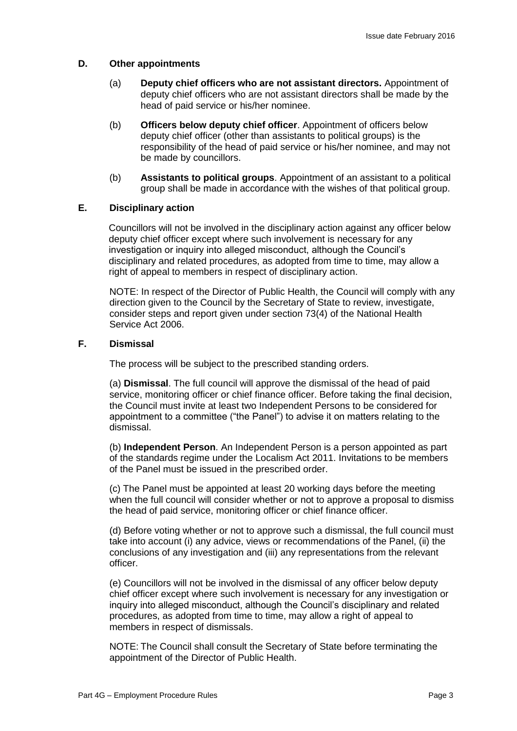#### **D. Other appointments**

- (a) **Deputy chief officers who are not assistant directors.** Appointment of deputy chief officers who are not assistant directors shall be made by the head of paid service or his/her nominee.
- (b) **Officers below deputy chief officer**. Appointment of officers below deputy chief officer (other than assistants to political groups) is the responsibility of the head of paid service or his/her nominee, and may not be made by councillors.
- (b) **Assistants to political groups**. Appointment of an assistant to a political group shall be made in accordance with the wishes of that political group.

#### **E. Disciplinary action**

Councillors will not be involved in the disciplinary action against any officer below deputy chief officer except where such involvement is necessary for any investigation or inquiry into alleged misconduct, although the Council's disciplinary and related procedures, as adopted from time to time, may allow a right of appeal to members in respect of disciplinary action.

NOTE: In respect of the Director of Public Health, the Council will comply with any direction given to the Council by the Secretary of State to review, investigate, consider steps and report given under section 73(4) of the National Health Service Act 2006.

#### **F. Dismissal**

The process will be subject to the prescribed standing orders.

(a) **Dismissal**. The full council will approve the dismissal of the head of paid service, monitoring officer or chief finance officer. Before taking the final decision, the Council must invite at least two Independent Persons to be considered for appointment to a committee ("the Panel") to advise it on matters relating to the dismissal.

(b) **Independent Person**. An Independent Person is a person appointed as part of the standards regime under the Localism Act 2011. Invitations to be members of the Panel must be issued in the prescribed order.

(c) The Panel must be appointed at least 20 working days before the meeting when the full council will consider whether or not to approve a proposal to dismiss the head of paid service, monitoring officer or chief finance officer.

(d) Before voting whether or not to approve such a dismissal, the full council must take into account (i) any advice, views or recommendations of the Panel, (ii) the conclusions of any investigation and (iii) any representations from the relevant officer.

(e) Councillors will not be involved in the dismissal of any officer below deputy chief officer except where such involvement is necessary for any investigation or inquiry into alleged misconduct, although the Council's disciplinary and related procedures, as adopted from time to time, may allow a right of appeal to members in respect of dismissals.

NOTE: The Council shall consult the Secretary of State before terminating the appointment of the Director of Public Health.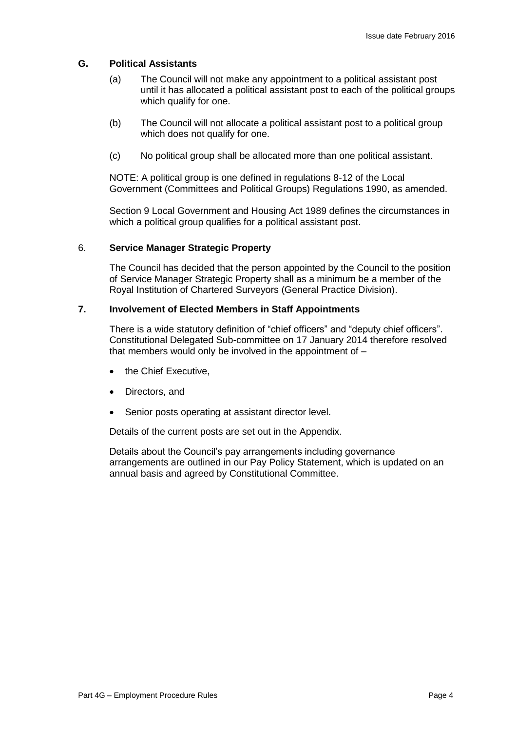# **G. Political Assistants**

- (a) The Council will not make any appointment to a political assistant post until it has allocated a political assistant post to each of the political groups which qualify for one.
- (b) The Council will not allocate a political assistant post to a political group which does not qualify for one.
- (c) No political group shall be allocated more than one political assistant.

NOTE: A political group is one defined in regulations 8-12 of the Local Government (Committees and Political Groups) Regulations 1990, as amended.

Section 9 Local Government and Housing Act 1989 defines the circumstances in which a political group qualifies for a political assistant post.

#### 6. **Service Manager Strategic Property**

The Council has decided that the person appointed by the Council to the position of Service Manager Strategic Property shall as a minimum be a member of the Royal Institution of Chartered Surveyors (General Practice Division).

### **7. Involvement of Elected Members in Staff Appointments**

There is a wide statutory definition of "chief officers" and "deputy chief officers". Constitutional Delegated Sub-committee on 17 January 2014 therefore resolved that members would only be involved in the appointment of –

- the Chief Executive,
- Directors, and
- Senior posts operating at assistant director level.

Details of the current posts are set out in the Appendix.

Details about the Council's pay arrangements including governance arrangements are outlined in our Pay Policy Statement, which is updated on an annual basis and agreed by Constitutional Committee.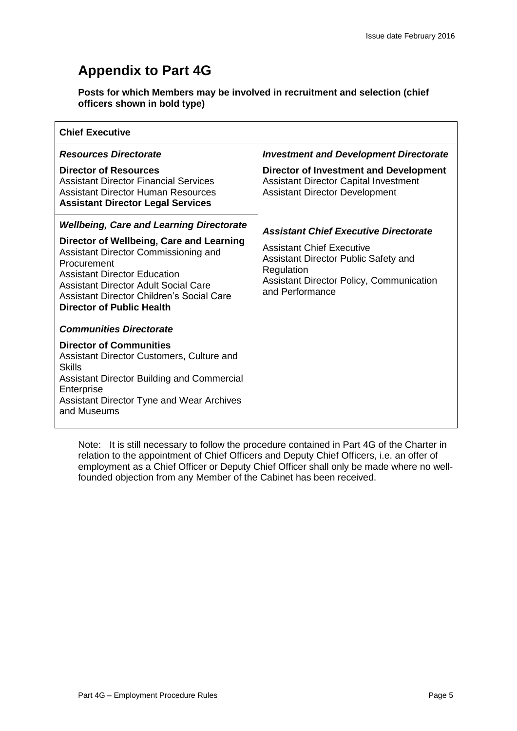# **Appendix to Part 4G**

**Posts for which Members may be involved in recruitment and selection (chief officers shown in bold type)**

| <b>Chief Executive</b>                                                                                                                                                                                                                                                 |                                                                                                                                                                                                              |  |  |  |  |
|------------------------------------------------------------------------------------------------------------------------------------------------------------------------------------------------------------------------------------------------------------------------|--------------------------------------------------------------------------------------------------------------------------------------------------------------------------------------------------------------|--|--|--|--|
| <b>Resources Directorate</b>                                                                                                                                                                                                                                           | <b>Investment and Development Directorate</b>                                                                                                                                                                |  |  |  |  |
| <b>Director of Resources</b><br><b>Assistant Director Financial Services</b><br><b>Assistant Director Human Resources</b><br><b>Assistant Director Legal Services</b>                                                                                                  | Director of Investment and Development<br><b>Assistant Director Capital Investment</b><br><b>Assistant Director Development</b>                                                                              |  |  |  |  |
| <b>Wellbeing, Care and Learning Directorate</b>                                                                                                                                                                                                                        | <b>Assistant Chief Executive Directorate</b><br><b>Assistant Chief Executive</b><br>Assistant Director Public Safety and<br>Regulation<br><b>Assistant Director Policy, Communication</b><br>and Performance |  |  |  |  |
| Director of Wellbeing, Care and Learning<br>Assistant Director Commissioning and<br>Procurement<br><b>Assistant Director Education</b><br>Assistant Director Adult Social Care<br><b>Assistant Director Children's Social Care</b><br><b>Director of Public Health</b> |                                                                                                                                                                                                              |  |  |  |  |
| <b>Communities Directorate</b>                                                                                                                                                                                                                                         |                                                                                                                                                                                                              |  |  |  |  |
| <b>Director of Communities</b><br>Assistant Director Customers, Culture and<br>Skills<br><b>Assistant Director Building and Commercial</b><br>Enterprise<br><b>Assistant Director Tyne and Wear Archives</b><br>and Museums                                            |                                                                                                                                                                                                              |  |  |  |  |

Note: It is still necessary to follow the procedure contained in Part 4G of the Charter in relation to the appointment of Chief Officers and Deputy Chief Officers, i.e. an offer of employment as a Chief Officer or Deputy Chief Officer shall only be made where no wellfounded objection from any Member of the Cabinet has been received.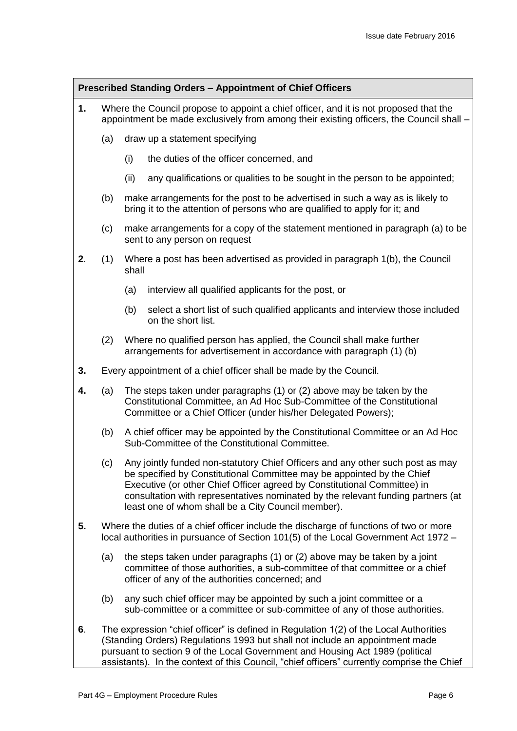| <b>Prescribed Standing Orders - Appointment of Chief Officers</b> |                                                                                                                                                                              |                                                                                                                                                                                                                                                                                                                                                      |                                                                                                                                                                                                                                                                                                                                                                                |  |  |  |
|-------------------------------------------------------------------|------------------------------------------------------------------------------------------------------------------------------------------------------------------------------|------------------------------------------------------------------------------------------------------------------------------------------------------------------------------------------------------------------------------------------------------------------------------------------------------------------------------------------------------|--------------------------------------------------------------------------------------------------------------------------------------------------------------------------------------------------------------------------------------------------------------------------------------------------------------------------------------------------------------------------------|--|--|--|
| 1.                                                                |                                                                                                                                                                              | Where the Council propose to appoint a chief officer, and it is not proposed that the<br>appointment be made exclusively from among their existing officers, the Council shall -                                                                                                                                                                     |                                                                                                                                                                                                                                                                                                                                                                                |  |  |  |
|                                                                   | (a)                                                                                                                                                                          |                                                                                                                                                                                                                                                                                                                                                      | draw up a statement specifying                                                                                                                                                                                                                                                                                                                                                 |  |  |  |
|                                                                   |                                                                                                                                                                              | (i)                                                                                                                                                                                                                                                                                                                                                  | the duties of the officer concerned, and                                                                                                                                                                                                                                                                                                                                       |  |  |  |
|                                                                   |                                                                                                                                                                              | (ii)                                                                                                                                                                                                                                                                                                                                                 | any qualifications or qualities to be sought in the person to be appointed;                                                                                                                                                                                                                                                                                                    |  |  |  |
|                                                                   | (b)                                                                                                                                                                          | make arrangements for the post to be advertised in such a way as is likely to<br>bring it to the attention of persons who are qualified to apply for it; and                                                                                                                                                                                         |                                                                                                                                                                                                                                                                                                                                                                                |  |  |  |
|                                                                   | (c)                                                                                                                                                                          | make arrangements for a copy of the statement mentioned in paragraph (a) to be<br>sent to any person on request                                                                                                                                                                                                                                      |                                                                                                                                                                                                                                                                                                                                                                                |  |  |  |
| 2.                                                                | (1)                                                                                                                                                                          | Where a post has been advertised as provided in paragraph 1(b), the Council<br>shall                                                                                                                                                                                                                                                                 |                                                                                                                                                                                                                                                                                                                                                                                |  |  |  |
|                                                                   |                                                                                                                                                                              | (a)                                                                                                                                                                                                                                                                                                                                                  | interview all qualified applicants for the post, or                                                                                                                                                                                                                                                                                                                            |  |  |  |
|                                                                   |                                                                                                                                                                              | (b)                                                                                                                                                                                                                                                                                                                                                  | select a short list of such qualified applicants and interview those included<br>on the short list.                                                                                                                                                                                                                                                                            |  |  |  |
|                                                                   | (2)                                                                                                                                                                          | Where no qualified person has applied, the Council shall make further<br>arrangements for advertisement in accordance with paragraph (1) (b)                                                                                                                                                                                                         |                                                                                                                                                                                                                                                                                                                                                                                |  |  |  |
| 3.                                                                |                                                                                                                                                                              | Every appointment of a chief officer shall be made by the Council.                                                                                                                                                                                                                                                                                   |                                                                                                                                                                                                                                                                                                                                                                                |  |  |  |
| 4.                                                                | (a)                                                                                                                                                                          | The steps taken under paragraphs (1) or (2) above may be taken by the<br>Constitutional Committee, an Ad Hoc Sub-Committee of the Constitutional<br>Committee or a Chief Officer (under his/her Delegated Powers);                                                                                                                                   |                                                                                                                                                                                                                                                                                                                                                                                |  |  |  |
|                                                                   | (b)                                                                                                                                                                          | A chief officer may be appointed by the Constitutional Committee or an Ad Hoc<br>Sub-Committee of the Constitutional Committee.                                                                                                                                                                                                                      |                                                                                                                                                                                                                                                                                                                                                                                |  |  |  |
| (c)                                                               |                                                                                                                                                                              |                                                                                                                                                                                                                                                                                                                                                      | Any jointly funded non-statutory Chief Officers and any other such post as may<br>be specified by Constitutional Committee may be appointed by the Chief<br>Executive (or other Chief Officer agreed by Constitutional Committee) in<br>consultation with representatives nominated by the relevant funding partners (at<br>least one of whom shall be a City Council member). |  |  |  |
| 5.                                                                | Where the duties of a chief officer include the discharge of functions of two or more<br>local authorities in pursuance of Section 101(5) of the Local Government Act 1972 - |                                                                                                                                                                                                                                                                                                                                                      |                                                                                                                                                                                                                                                                                                                                                                                |  |  |  |
|                                                                   | (a)                                                                                                                                                                          |                                                                                                                                                                                                                                                                                                                                                      | the steps taken under paragraphs (1) or (2) above may be taken by a joint<br>committee of those authorities, a sub-committee of that committee or a chief<br>officer of any of the authorities concerned; and                                                                                                                                                                  |  |  |  |
|                                                                   | any such chief officer may be appointed by such a joint committee or a<br>(b)<br>sub-committee or a committee or sub-committee of any of those authorities.                  |                                                                                                                                                                                                                                                                                                                                                      |                                                                                                                                                                                                                                                                                                                                                                                |  |  |  |
| 6.                                                                |                                                                                                                                                                              | The expression "chief officer" is defined in Regulation 1(2) of the Local Authorities<br>(Standing Orders) Regulations 1993 but shall not include an appointment made<br>pursuant to section 9 of the Local Government and Housing Act 1989 (political<br>assistants). In the context of this Council, "chief officers" currently comprise the Chief |                                                                                                                                                                                                                                                                                                                                                                                |  |  |  |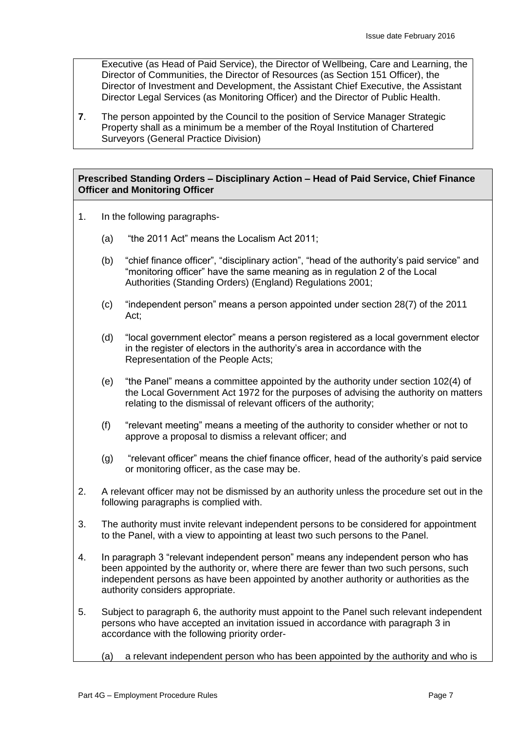Executive (as Head of Paid Service), the Director of Wellbeing, Care and Learning, the Director of Communities, the Director of Resources (as Section 151 Officer), the Director of Investment and Development, the Assistant Chief Executive, the Assistant Director Legal Services (as Monitoring Officer) and the Director of Public Health.

**7**. The person appointed by the Council to the position of Service Manager Strategic Property shall as a minimum be a member of the Royal Institution of Chartered Surveyors (General Practice Division)

### **Prescribed Standing Orders – Disciplinary Action – Head of Paid Service, Chief Finance Officer and Monitoring Officer**

- 1. In the following paragraphs-
	- (a) "the 2011 Act" means the Localism Act 2011;
	- (b) "chief finance officer", "disciplinary action", "head of the authority's paid service" and "monitoring officer" have the same meaning as in regulation 2 of the Local Authorities (Standing Orders) (England) Regulations 2001;
	- (c) "independent person" means a person appointed under section 28(7) of the 2011 Act;
	- (d) "local government elector" means a person registered as a local government elector in the register of electors in the authority's area in accordance with the Representation of the People Acts;
	- (e) "the Panel" means a committee appointed by the authority under section 102(4) of the Local Government Act 1972 for the purposes of advising the authority on matters relating to the dismissal of relevant officers of the authority;
	- (f) "relevant meeting" means a meeting of the authority to consider whether or not to approve a proposal to dismiss a relevant officer; and
	- (g) "relevant officer" means the chief finance officer, head of the authority's paid service or monitoring officer, as the case may be.
- 2. A relevant officer may not be dismissed by an authority unless the procedure set out in the following paragraphs is complied with.
- 3. The authority must invite relevant independent persons to be considered for appointment to the Panel, with a view to appointing at least two such persons to the Panel.
- 4. In paragraph 3 "relevant independent person" means any independent person who has been appointed by the authority or, where there are fewer than two such persons, such independent persons as have been appointed by another authority or authorities as the authority considers appropriate.
- 5. Subject to paragraph 6, the authority must appoint to the Panel such relevant independent persons who have accepted an invitation issued in accordance with paragraph 3 in accordance with the following priority order-
	- (a) a relevant independent person who has been appointed by the authority and who is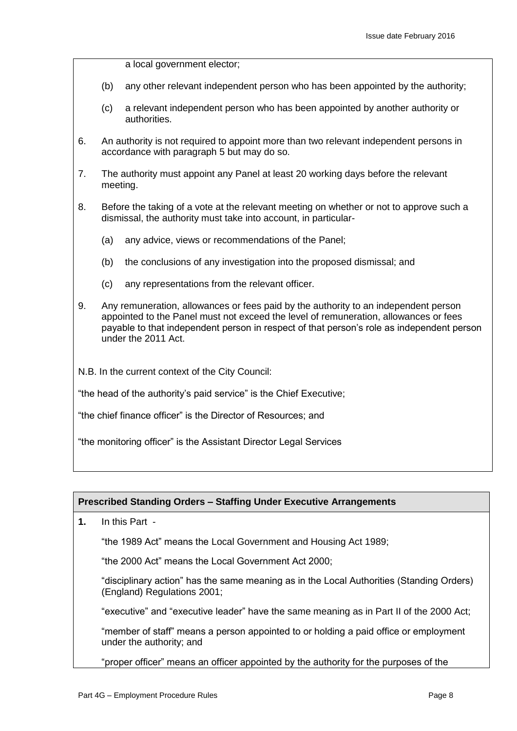a local government elector;

- (b) any other relevant independent person who has been appointed by the authority;
- (c) a relevant independent person who has been appointed by another authority or authorities.
- 6. An authority is not required to appoint more than two relevant independent persons in accordance with paragraph 5 but may do so.
- 7. The authority must appoint any Panel at least 20 working days before the relevant meeting.
- 8. Before the taking of a vote at the relevant meeting on whether or not to approve such a dismissal, the authority must take into account, in particular-
	- (a) any advice, views or recommendations of the Panel;
	- (b) the conclusions of any investigation into the proposed dismissal; and
	- (c) any representations from the relevant officer.
- 9. Any remuneration, allowances or fees paid by the authority to an independent person appointed to the Panel must not exceed the level of remuneration, allowances or fees payable to that independent person in respect of that person's role as independent person under the 2011 Act.

N.B. In the current context of the City Council:

"the head of the authority's paid service" is the Chief Executive;

"the chief finance officer" is the Director of Resources; and

"the monitoring officer" is the Assistant Director Legal Services

# **Prescribed Standing Orders – Staffing Under Executive Arrangements**

**1.** In this Part -

"the 1989 Act" means the Local Government and Housing Act 1989;

"the 2000 Act" means the Local Government Act 2000;

"disciplinary action" has the same meaning as in the Local Authorities (Standing Orders) (England) Regulations 2001;

"executive" and "executive leader" have the same meaning as in Part II of the 2000 Act;

"member of staff" means a person appointed to or holding a paid office or employment under the authority; and

"proper officer" means an officer appointed by the authority for the purposes of the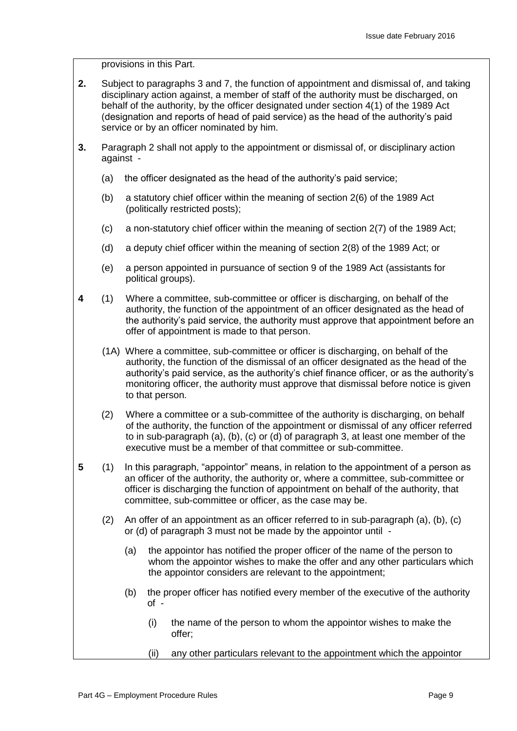provisions in this Part.

| 2. Subject to paragraphs 3 and 7, the function of appointment and dismissal of, and taking |
|--------------------------------------------------------------------------------------------|
| disciplinary action against, a member of staff of the authority must be discharged, on     |
| behalf of the authority, by the officer designated under section 4(1) of the 1989 Act      |
| (designation and reports of head of paid service) as the head of the authority's paid      |
| service or by an officer nominated by him.                                                 |

- **3.** Paragraph 2 shall not apply to the appointment or dismissal of, or disciplinary action against -
	- (a) the officer designated as the head of the authority's paid service;
	- (b) a statutory chief officer within the meaning of section 2(6) of the 1989 Act (politically restricted posts);
	- (c) a non-statutory chief officer within the meaning of section 2(7) of the 1989 Act;
	- (d) a deputy chief officer within the meaning of section 2(8) of the 1989 Act; or
	- (e) a person appointed in pursuance of section 9 of the 1989 Act (assistants for political groups).
- **4** (1) Where a committee, sub-committee or officer is discharging, on behalf of the authority, the function of the appointment of an officer designated as the head of the authority's paid service, the authority must approve that appointment before an offer of appointment is made to that person.
	- (1A) Where a committee, sub-committee or officer is discharging, on behalf of the authority, the function of the dismissal of an officer designated as the head of the authority's paid service, as the authority's chief finance officer, or as the authority's monitoring officer, the authority must approve that dismissal before notice is given to that person.
	- (2) Where a committee or a sub-committee of the authority is discharging, on behalf of the authority, the function of the appointment or dismissal of any officer referred to in sub-paragraph (a), (b), (c) or (d) of paragraph 3, at least one member of the executive must be a member of that committee or sub-committee.
- **5** (1) In this paragraph, "appointor" means, in relation to the appointment of a person as an officer of the authority, the authority or, where a committee, sub-committee or officer is discharging the function of appointment on behalf of the authority, that committee, sub-committee or officer, as the case may be.
	- (2) An offer of an appointment as an officer referred to in sub-paragraph (a), (b), (c) or (d) of paragraph 3 must not be made by the appointor until -
		- (a) the appointor has notified the proper officer of the name of the person to whom the appointor wishes to make the offer and any other particulars which the appointor considers are relevant to the appointment;
		- (b) the proper officer has notified every member of the executive of the authority of -
			- (i) the name of the person to whom the appointor wishes to make the offer;
			- (ii) any other particulars relevant to the appointment which the appointor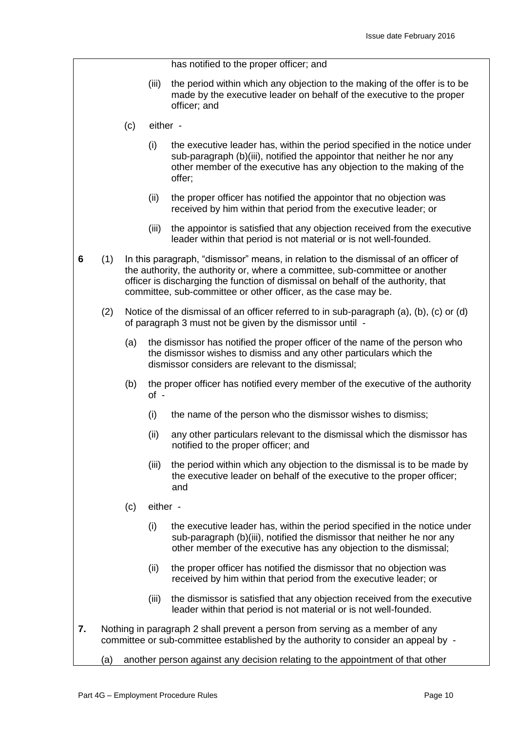|    |                                                                                                                                                                     |                                                                                                                                                                                                                                                                                                                            |          | has notified to the proper officer; and                                                                                                                                                                                               |  |
|----|---------------------------------------------------------------------------------------------------------------------------------------------------------------------|----------------------------------------------------------------------------------------------------------------------------------------------------------------------------------------------------------------------------------------------------------------------------------------------------------------------------|----------|---------------------------------------------------------------------------------------------------------------------------------------------------------------------------------------------------------------------------------------|--|
|    |                                                                                                                                                                     |                                                                                                                                                                                                                                                                                                                            | (iii)    | the period within which any objection to the making of the offer is to be<br>made by the executive leader on behalf of the executive to the proper<br>officer; and                                                                    |  |
|    |                                                                                                                                                                     | (c)                                                                                                                                                                                                                                                                                                                        | either - |                                                                                                                                                                                                                                       |  |
|    |                                                                                                                                                                     |                                                                                                                                                                                                                                                                                                                            | (i)      | the executive leader has, within the period specified in the notice under<br>sub-paragraph (b)(iii), notified the appointor that neither he nor any<br>other member of the executive has any objection to the making of the<br>offer; |  |
|    |                                                                                                                                                                     |                                                                                                                                                                                                                                                                                                                            | (ii)     | the proper officer has notified the appointor that no objection was<br>received by him within that period from the executive leader; or                                                                                               |  |
|    |                                                                                                                                                                     |                                                                                                                                                                                                                                                                                                                            | (iii)    | the appointor is satisfied that any objection received from the executive<br>leader within that period is not material or is not well-founded.                                                                                        |  |
| 6  | (1)                                                                                                                                                                 | In this paragraph, "dismissor" means, in relation to the dismissal of an officer of<br>the authority, the authority or, where a committee, sub-committee or another<br>officer is discharging the function of dismissal on behalf of the authority, that<br>committee, sub-committee or other officer, as the case may be. |          |                                                                                                                                                                                                                                       |  |
|    | (2)                                                                                                                                                                 | Notice of the dismissal of an officer referred to in sub-paragraph (a), (b), (c) or (d)<br>of paragraph 3 must not be given by the dismissor until -                                                                                                                                                                       |          |                                                                                                                                                                                                                                       |  |
|    |                                                                                                                                                                     | (a)                                                                                                                                                                                                                                                                                                                        |          | the dismissor has notified the proper officer of the name of the person who<br>the dismissor wishes to dismiss and any other particulars which the<br>dismissor considers are relevant to the dismissal;                              |  |
|    |                                                                                                                                                                     | (b)                                                                                                                                                                                                                                                                                                                        | $of -$   | the proper officer has notified every member of the executive of the authority                                                                                                                                                        |  |
|    |                                                                                                                                                                     |                                                                                                                                                                                                                                                                                                                            | (i)      | the name of the person who the dismissor wishes to dismiss;                                                                                                                                                                           |  |
|    |                                                                                                                                                                     |                                                                                                                                                                                                                                                                                                                            | (ii)     | any other particulars relevant to the dismissal which the dismissor has<br>notified to the proper officer; and                                                                                                                        |  |
|    |                                                                                                                                                                     |                                                                                                                                                                                                                                                                                                                            | (iii)    | the period within which any objection to the dismissal is to be made by<br>the executive leader on behalf of the executive to the proper officer;<br>and                                                                              |  |
|    |                                                                                                                                                                     | (c)<br>either -                                                                                                                                                                                                                                                                                                            |          |                                                                                                                                                                                                                                       |  |
|    |                                                                                                                                                                     |                                                                                                                                                                                                                                                                                                                            | (i)      | the executive leader has, within the period specified in the notice under<br>sub-paragraph (b)(iii), notified the dismissor that neither he nor any<br>other member of the executive has any objection to the dismissal;              |  |
|    |                                                                                                                                                                     |                                                                                                                                                                                                                                                                                                                            | (ii)     | the proper officer has notified the dismissor that no objection was<br>received by him within that period from the executive leader; or                                                                                               |  |
|    |                                                                                                                                                                     |                                                                                                                                                                                                                                                                                                                            | (iii)    | the dismissor is satisfied that any objection received from the executive<br>leader within that period is not material or is not well-founded.                                                                                        |  |
| 7. | Nothing in paragraph 2 shall prevent a person from serving as a member of any<br>committee or sub-committee established by the authority to consider an appeal by - |                                                                                                                                                                                                                                                                                                                            |          |                                                                                                                                                                                                                                       |  |
|    | (a)                                                                                                                                                                 |                                                                                                                                                                                                                                                                                                                            |          | another person against any decision relating to the appointment of that other                                                                                                                                                         |  |